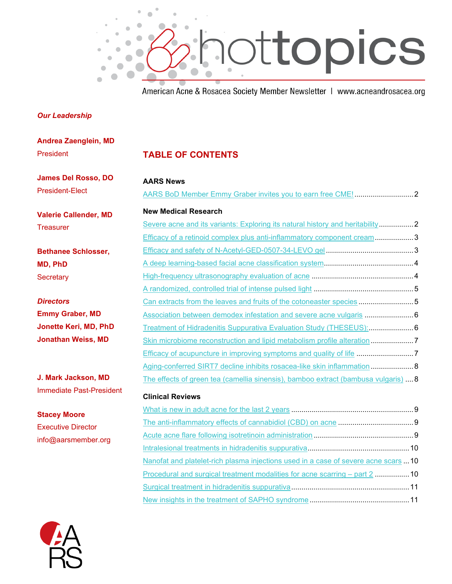

American Acne & Rosacea Society Member Newsletter | www.acneandrosacea.org

## *Our Leadership*

| <b>Andrea Zaenglein, MD</b>     |                                                                                     |  |
|---------------------------------|-------------------------------------------------------------------------------------|--|
| President                       | <b>TABLE OF CONTENTS</b>                                                            |  |
| <b>James Del Rosso, DO</b>      | <b>AARS News</b>                                                                    |  |
| <b>President-Elect</b>          |                                                                                     |  |
| <b>Valerie Callender, MD</b>    | <b>New Medical Research</b>                                                         |  |
| <b>Treasurer</b>                | Severe acne and its variants: Exploring its natural history and heritability2       |  |
|                                 | Efficacy of a retinoid complex plus anti-inflammatory component cream 3             |  |
| <b>Bethanee Schlosser,</b>      |                                                                                     |  |
| <b>MD, PhD</b>                  |                                                                                     |  |
| Secretary                       |                                                                                     |  |
|                                 |                                                                                     |  |
| <b>Directors</b>                | Can extracts from the leaves and fruits of the cotoneaster species 5                |  |
| <b>Emmy Graber, MD</b>          | Association between demodex infestation and severe acne vulgaris                    |  |
| Jonette Keri, MD, PhD           | Treatment of Hidradenitis Suppurativa Evaluation Study (THESEUS):  6                |  |
| <b>Jonathan Weiss, MD</b>       | Skin microbiome reconstruction and lipid metabolism profile alteration              |  |
|                                 |                                                                                     |  |
|                                 | Aging-conferred SIRT7 decline inhibits rosacea-like skin inflammation 8             |  |
| J. Mark Jackson, MD             | The effects of green tea (camellia sinensis), bamboo extract (bambusa vulgaris)  8  |  |
| <b>Immediate Past-President</b> | <b>Clinical Reviews</b>                                                             |  |
|                                 |                                                                                     |  |
| <b>Stacey Moore</b>             |                                                                                     |  |
| <b>Executive Director</b>       |                                                                                     |  |
| info@aarsmember.org             |                                                                                     |  |
|                                 | Nanofat and platelet-rich plasma injections used in a case of severe acne scars  10 |  |
|                                 | Procedural and surgical treatment modalities for acne scarring - part 2  10         |  |
|                                 |                                                                                     |  |
|                                 |                                                                                     |  |
|                                 |                                                                                     |  |

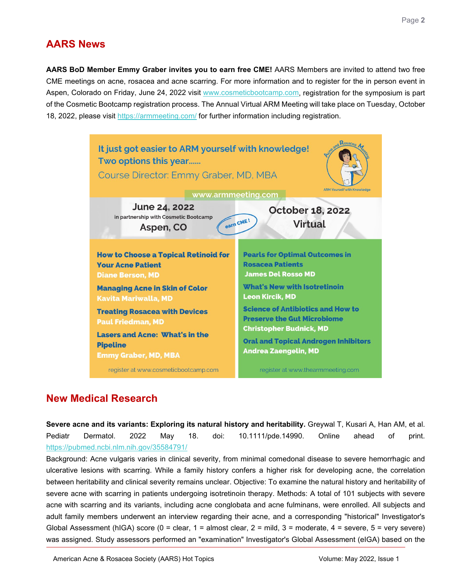## **AARS News**

<span id="page-1-0"></span>**AARS BoD Member Emmy Graber invites you to earn free CME!** AARS Members are invited to attend two free CME meetings on acne, rosacea and acne scarring. For more information and to register for the in person event in Aspen, Colorado on Friday, June 24, 2022 visit [www.cosmeticbootcamp.com,](http://www.cosmeticbootcamp.com/) registration for the symposium is part of the Cosmetic Bootcamp registration process. The Annual Virtual ARM Meeting will take place on Tuesday, October 18, 2022, please visit <https://armmeeting.com/> for further information including registration.



## **New Medical Research**

<span id="page-1-1"></span>**Severe acne and its variants: Exploring its natural history and heritability.** Greywal T, Kusari A, Han AM, et al. Pediatr Dermatol. 2022 May 18. doi: 10.1111/pde.14990. Online ahead of print. <https://pubmed.ncbi.nlm.nih.gov/35584791/>

Background: Acne vulgaris varies in clinical severity, from minimal comedonal disease to severe hemorrhagic and ulcerative lesions with scarring. While a family history confers a higher risk for developing acne, the correlation between heritability and clinical severity remains unclear. Objective: To examine the natural history and heritability of severe acne with scarring in patients undergoing isotretinoin therapy. Methods: A total of 101 subjects with severe acne with scarring and its variants, including acne conglobata and acne fulminans, were enrolled. All subjects and adult family members underwent an interview regarding their acne, and a corresponding "historical" Investigator's Global Assessment (hIGA) score (0 = clear, 1 = almost clear, 2 = mild,  $3$  = moderate, 4 = severe,  $5$  = very severe) was assigned. Study assessors performed an "examination" Investigator's Global Assessment (eIGA) based on the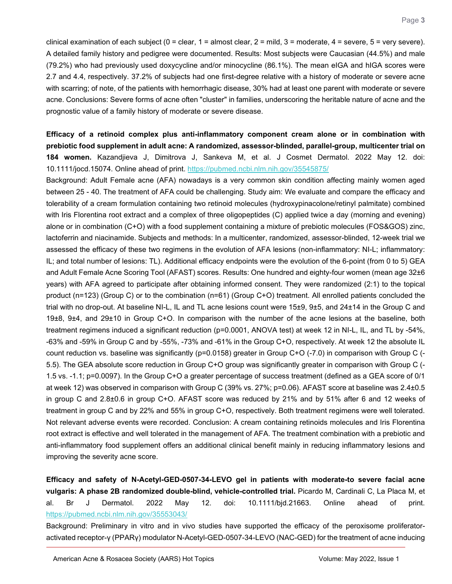clinical examination of each subject ( $0 =$  clear,  $1 =$  almost clear,  $2 =$  mild,  $3 =$  moderate,  $4 =$  severe,  $5 =$  very severe). A detailed family history and pedigree were documented. Results: Most subjects were Caucasian (44.5%) and male (79.2%) who had previously used doxycycline and/or minocycline (86.1%). The mean eIGA and hIGA scores were 2.7 and 4.4, respectively. 37.2% of subjects had one first-degree relative with a history of moderate or severe acne with scarring; of note, of the patients with hemorrhagic disease, 30% had at least one parent with moderate or severe acne. Conclusions: Severe forms of acne often "cluster" in families, underscoring the heritable nature of acne and the prognostic value of a family history of moderate or severe disease.

<span id="page-2-0"></span>**Efficacy of a retinoid complex plus anti-inflammatory component cream alone or in combination with prebiotic food supplement in adult acne: A randomized, assessor-blinded, parallel-group, multicenter trial on 184 women.** Kazandjieva J, Dimitrova J, Sankeva M, et al. J Cosmet Dermatol. 2022 May 12. doi: 10.1111/jocd.15074. Online ahead of print.<https://pubmed.ncbi.nlm.nih.gov/35545875/>

Background: Adult Female acne (AFA) nowadays is a very common skin condition affecting mainly women aged between 25 - 40. The treatment of AFA could be challenging. Study aim: We evaluate and compare the efficacy and tolerability of a cream formulation containing two retinoid molecules (hydroxypinacolone/retinyl palmitate) combined with Iris Florentina root extract and a complex of three oligopeptides (C) applied twice a day (morning and evening) alone or in combination (C+O) with a food supplement containing a mixture of prebiotic molecules (FOS&GOS) zinc, lactoferrin and niacinamide. Subjects and methods: In a multicenter, randomized, assessor-blinded, 12-week trial we assessed the efficacy of these two regimens in the evolution of AFA lesions (non-inflammatory: NI-L; inflammatory: IL; and total number of lesions: TL). Additional efficacy endpoints were the evolution of the 6-point (from 0 to 5) GEA and Adult Female Acne Scoring Tool (AFAST) scores. Results: One hundred and eighty-four women (mean age 32±6 years) with AFA agreed to participate after obtaining informed consent. They were randomized (2:1) to the topical product (n=123) (Group C) or to the combination (n=61) (Group C+O) treatment. All enrolled patients concluded the trial with no drop-out. At baseline NI-L, IL and TL acne lesions count were 15±9, 9±5, and 24±14 in the Group C and 19±8, 9±4, and 29±10 in Group C+O. In comparison with the number of the acne lesions at the baseline, both treatment regimens induced a significant reduction (p=0.0001, ANOVA test) at week 12 in NI-L, IL, and TL by -54%, -63% and -59% in Group C and by -55%, -73% and -61% in the Group C+O, respectively. At week 12 the absolute IL count reduction vs. baseline was significantly (p=0.0158) greater in Group C+O (-7.0) in comparison with Group C (- 5.5). The GEA absolute score reduction in Group C+O group was significantly greater in comparison with Group C (- 1.5 vs. -1.1; p=0.0097). In the Group C+O a greater percentage of success treatment (defined as a GEA score of 0/1 at week 12) was observed in comparison with Group C (39% vs. 27%; p=0.06). AFAST score at baseline was 2.4±0.5 in group C and 2.8±0.6 in group C+O. AFAST score was reduced by 21% and by 51% after 6 and 12 weeks of treatment in group C and by 22% and 55% in group C+O, respectively. Both treatment regimens were well tolerated. Not relevant adverse events were recorded. Conclusion: A cream containing retinoids molecules and Iris Florentina root extract is effective and well tolerated in the management of AFA. The treatment combination with a prebiotic and anti-inflammatory food supplement offers an additional clinical benefit mainly in reducing inflammatory lesions and improving the severity acne score.

<span id="page-2-1"></span>**Efficacy and safety of N-Acetyl-GED-0507-34-LEVO gel in patients with moderate-to severe facial acne vulgaris: A phase 2B randomized double-blind, vehicle-controlled trial.** Picardo M, Cardinali C, La Placa M, et al. Br J Dermatol. 2022 May 12. doi: 10.1111/bjd.21663. Online ahead of print. <https://pubmed.ncbi.nlm.nih.gov/35553043/>

Background: Preliminary in vitro and in vivo studies have supported the efficacy of the peroxisome proliferatoractivated receptor-γ (PPARγ) modulator N-Acetyl-GED-0507-34-LEVO (NAC-GED) for the treatment of acne inducing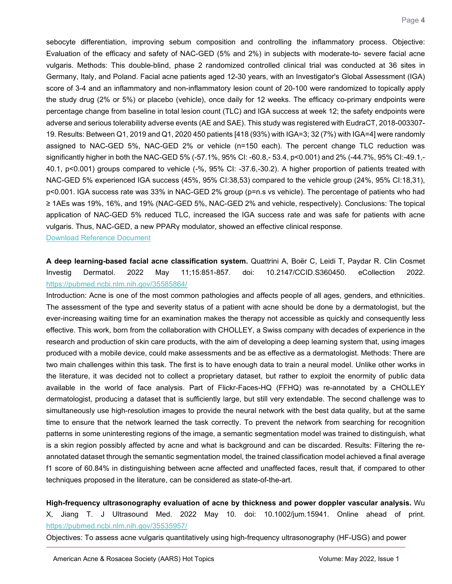sebocyte differentiation, improving sebum composition and controlling the inflammatory process. Objective: Evaluation of the efficacy and safety of NAC-GED (5% and 2%) in subjects with moderate-to- severe facial acne vulgaris. Methods: This double-blind, phase 2 randomized controlled clinical trial was conducted at 36 sites in Germany, Italy, and Poland. Facial acne patients aged 12-30 years, with an Investigator's Global Assessment (IGA) score of 3-4 and an inflammatory and non-inflammatory lesion count of 20-100 were randomized to topically apply the study drug (2% or 5%) or placebo (vehicle), once daily for 12 weeks. The efficacy co-primary endpoints were percentage change from baseline in total lesion count (TLC) and IGA success at week 12; the safety endpoints were adverse and serious tolerability adverse events (AE and SAE). This study was registered with EudraCT, 2018-003307- 19. Results: Between Q1, 2019 and Q1, 2020 450 patients [418 (93%) with IGA=3; 32 (7%) with IGA=4] were randomly assigned to NAC-GED 5%, NAC-GED 2% or vehicle (n=150 each). The percent change TLC reduction was significantly higher in both the NAC-GED 5% (-57.1%, 95% CI: -60.8,- 53.4, p<0.001) and 2% (-44.7%, 95% CI:-49.1,- 40.1, p<0.001) groups compared to vehicle (-%, 95% CI: -37.6,-30.2). A higher proportion of patients treated with NAC-GED 5% experienced IGA success (45%, 95% CI:38,53) compared to the vehicle group (24%, 95% CI:18,31), p<0.001. IGA success rate was 33% in NAC-GED 2% group (p=n.s vs vehicle). The percentage of patients who had ≥ 1AEs was 19%, 16%, and 19% (NAC-GED 5%, NAC-GED 2% and vehicle, respectively). Conclusions: The topical application of NAC-GED 5% reduced TLC, increased the IGA success rate and was safe for patients with acne vulgaris. Thus, NAC-GED, a new PPARγ modulator, showed an effective clinical response.

[Download Reference Document](https://files.constantcontact.com/c2fa20d1101/fff97f3d-8b11-46f3-a7bb-bf586c504c5a.pdf?rdr=true)

<span id="page-3-0"></span>**A deep learning-based facial acne classification system.** Quattrini A, Boër C, Leidi T, Paydar R. Clin Cosmet Investig Dermatol. 2022 May 11;15:851-857. doi: 10.2147/CCID.S360450. eCollection 2022. <https://pubmed.ncbi.nlm.nih.gov/35585864/>

Introduction: Acne is one of the most common pathologies and affects people of all ages, genders, and ethnicities. The assessment of the type and severity status of a patient with acne should be done by a dermatologist, but the ever-increasing waiting time for an examination makes the therapy not accessible as quickly and consequently less effective. This work, born from the collaboration with CHOLLEY, a Swiss company with decades of experience in the research and production of skin care products, with the aim of developing a deep learning system that, using images produced with a mobile device, could make assessments and be as effective as a dermatologist. Methods: There are two main challenges within this task. The first is to have enough data to train a neural model. Unlike other works in the literature, it was decided not to collect a proprietary dataset, but rather to exploit the enormity of public data available in the world of face analysis. Part of Flickr-Faces-HQ (FFHQ) was re-annotated by a CHOLLEY dermatologist, producing a dataset that is sufficiently large, but still very extendable. The second challenge was to simultaneously use high-resolution images to provide the neural network with the best data quality, but at the same time to ensure that the network learned the task correctly. To prevent the network from searching for recognition patterns in some uninteresting regions of the image, a semantic segmentation model was trained to distinguish, what is a skin region possibly affected by acne and what is background and can be discarded. Results: Filtering the reannotated dataset through the semantic segmentation model, the trained classification model achieved a final average f1 score of 60.84% in distinguishing between acne affected and unaffected faces, result that, if compared to other techniques proposed in the literature, can be considered as state-of-the-art.

<span id="page-3-1"></span>**High-frequency ultrasonography evaluation of acne by thickness and power doppler vascular analysis.** Wu X, Jiang T. J Ultrasound Med. 2022 May 10. doi: 10.1002/jum.15941. Online ahead of print. <https://pubmed.ncbi.nlm.nih.gov/35535957/>

Objectives: To assess acne vulgaris quantitatively using high-frequency ultrasonography (HF-USG) and power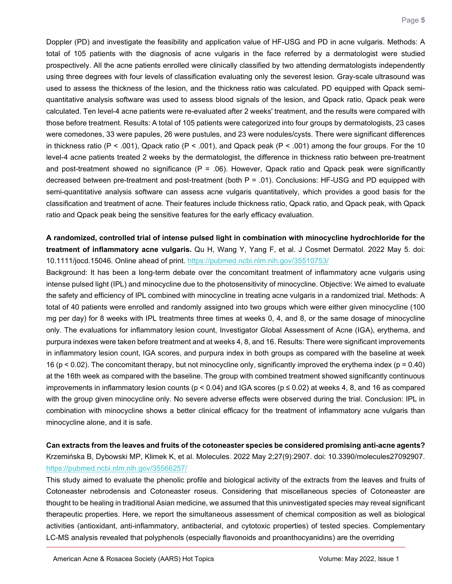Doppler (PD) and investigate the feasibility and application value of HF-USG and PD in acne vulgaris. Methods: A total of 105 patients with the diagnosis of acne vulgaris in the face referred by a dermatologist were studied prospectively. All the acne patients enrolled were clinically classified by two attending dermatologists independently using three degrees with four levels of classification evaluating only the severest lesion. Gray-scale ultrasound was used to assess the thickness of the lesion, and the thickness ratio was calculated. PD equipped with Qpack semiquantitative analysis software was used to assess blood signals of the lesion, and Qpack ratio, Qpack peak were calculated. Ten level-4 acne patients were re-evaluated after 2 weeks' treatment, and the results were compared with those before treatment. Results: A total of 105 patients were categorized into four groups by dermatologists, 23 cases were comedones, 33 were papules, 26 were pustules, and 23 were nodules/cysts. There were significant differences in thickness ratio (P < .001), Qpack ratio (P < .001), and Qpack peak (P < .001) among the four groups. For the 10 level-4 acne patients treated 2 weeks by the dermatologist, the difference in thickness ratio between pre-treatment and post-treatment showed no significance ( $P = .06$ ). However, Qpack ratio and Qpack peak were significantly decreased between pre-treatment and post-treatment (both P = .01). Conclusions: HF-USG and PD equipped with semi-quantitative analysis software can assess acne vulgaris quantitatively, which provides a good basis for the classification and treatment of acne. Their features include thickness ratio, Qpack ratio, and Qpack peak, with Qpack ratio and Qpack peak being the sensitive features for the early efficacy evaluation.

<span id="page-4-0"></span>**A randomized, controlled trial of intense pulsed light in combination with minocycline hydrochloride for the treatment of inflammatory acne vulgaris.** Qu H, Wang Y, Yang F, et al. J Cosmet Dermatol. 2022 May 5. doi: 10.1111/jocd.15046. Online ahead of print.<https://pubmed.ncbi.nlm.nih.gov/35510753/>

Background: It has been a long-term debate over the concomitant treatment of inflammatory acne vulgaris using intense pulsed light (IPL) and minocycline due to the photosensitivity of minocycline. Objective: We aimed to evaluate the safety and efficiency of IPL combined with minocycline in treating acne vulgaris in a randomized trial. Methods: A total of 40 patients were enrolled and randomly assigned into two groups which were either given minocycline (100 mg per day) for 8 weeks with IPL treatments three times at weeks 0, 4, and 8, or the same dosage of minocycline only. The evaluations for inflammatory lesion count, Investigator Global Assessment of Acne (IGA), erythema, and purpura indexes were taken before treatment and at weeks 4, 8, and 16. Results: There were significant improvements in inflammatory lesion count, IGA scores, and purpura index in both groups as compared with the baseline at week 16 ( $p$  < 0.02). The concomitant therapy, but not minocycline only, significantly improved the erythema index ( $p = 0.40$ ) at the 16th week as compared with the baseline. The group with combined treatment showed significantly continuous improvements in inflammatory lesion counts ( $p < 0.04$ ) and IGA scores ( $p \le 0.02$ ) at weeks 4, 8, and 16 as compared with the group given minocycline only. No severe adverse effects were observed during the trial. Conclusion: IPL in combination with minocycline shows a better clinical efficacy for the treatment of inflammatory acne vulgaris than minocycline alone, and it is safe.

<span id="page-4-1"></span>**Can extracts from the leaves and fruits of the cotoneaster species be considered promising anti-acne agents?** Krzemińska B, Dybowski MP, Klimek K, et al. Molecules. 2022 May 2;27(9):2907. doi: 10.3390/molecules27092907. <https://pubmed.ncbi.nlm.nih.gov/35566257/>

This study aimed to evaluate the phenolic profile and biological activity of the extracts from the leaves and fruits of Cotoneaster nebrodensis and Cotoneaster roseus. Considering that miscellaneous species of Cotoneaster are thought to be healing in traditional Asian medicine, we assumed that this uninvestigated species may reveal significant therapeutic properties. Here, we report the simultaneous assessment of chemical composition as well as biological activities (antioxidant, anti-inflammatory, antibacterial, and cytotoxic properties) of tested species. Complementary LC-MS analysis revealed that polyphenols (especially flavonoids and proanthocyanidins) are the overriding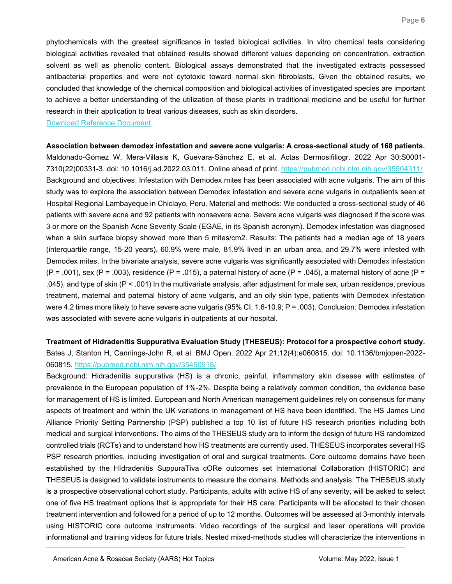phytochemicals with the greatest significance in tested biological activities. In vitro chemical tests considering biological activities revealed that obtained results showed different values depending on concentration, extraction solvent as well as phenolic content. Biological assays demonstrated that the investigated extracts possessed antibacterial properties and were not cytotoxic toward normal skin fibroblasts. Given the obtained results, we concluded that knowledge of the chemical composition and biological activities of investigated species are important to achieve a better understanding of the utilization of these plants in traditional medicine and be useful for further research in their application to treat various diseases, such as skin disorders.

[Download Reference Document](https://files.constantcontact.com/c2fa20d1101/7f04ebb0-d656-4bb0-ae5a-ccf5367e1f9e.pdf?rdr=true)

<span id="page-5-0"></span>**Association between demodex infestation and severe acne vulgaris: A cross-sectional study of 168 patients.** Maldonado-Gómez W, Mera-Villasis K, Guevara-Sánchez E, et al. Actas Dermosifiliogr. 2022 Apr 30;S0001- 7310(22)00331-3. doi: 10.1016/j.ad.2022.03.011. Online ahead of print.<https://pubmed.ncbi.nlm.nih.gov/35504311/> Background and objectives: Infestation with Demodex mites has been associated with acne vulgaris. The aim of this study was to explore the association between Demodex infestation and severe acne vulgaris in outpatients seen at Hospital Regional Lambayeque in Chiclayo, Peru. Material and methods: We conducted a cross-sectional study of 46 patients with severe acne and 92 patients with nonsevere acne. Severe acne vulgaris was diagnosed if the score was 3 or more on the Spanish Acne Severity Scale (EGAE, in its Spanish acronym). Demodex infestation was diagnosed when a skin surface biopsy showed more than 5 mites/cm2. Results: The patients had a median age of 18 years (interquartile range, 15-20 years), 60.9% were male, 81.9% lived in an urban area, and 29.7% were infested with Demodex mites. In the bivariate analysis, severe acne vulgaris was significantly associated with Demodex infestation  $(P = .001)$ , sex  $(P = .003)$ , residence  $(P = .015)$ , a paternal history of acne  $(P = .045)$ , a maternal history of acne  $(P = .001)$ .045), and type of skin (P < .001) In the multivariate analysis, after adjustment for male sex, urban residence, previous treatment, maternal and paternal history of acne vulgaris, and an oily skin type, patients with Demodex infestation were 4.2 times more likely to have severe acne vulgaris (95% CI, 1.6-10.9; P = .003). Conclusion: Demodex infestation was associated with severe acne vulgaris in outpatients at our hospital.

<span id="page-5-1"></span>**Treatment of Hidradenitis Suppurativa Evaluation Study (THESEUS): Protocol for a prospective cohort study.** Bates J, Stanton H, Cannings-John R, et al. BMJ Open. 2022 Apr 21;12(4):e060815. doi: 10.1136/bmjopen-2022- 060815.<https://pubmed.ncbi.nlm.nih.gov/35450918/>

Background: Hidradenitis suppurativa (HS) is a chronic, painful, inflammatory skin disease with estimates of prevalence in the European population of 1%-2%. Despite being a relatively common condition, the evidence base for management of HS is limited. European and North American management guidelines rely on consensus for many aspects of treatment and within the UK variations in management of HS have been identified. The HS James Lind Alliance Priority Setting Partnership (PSP) published a top 10 list of future HS research priorities including both medical and surgical interventions. The aims of the THESEUS study are to inform the design of future HS randomized controlled trials (RCTs) and to understand how HS treatments are currently used. THESEUS incorporates several HS PSP research priorities, including investigation of oral and surgical treatments. Core outcome domains have been established by the HIdradenitis SuppuraTiva cORe outcomes set International Collaboration (HISTORIC) and THESEUS is designed to validate instruments to measure the domains. Methods and analysis: The THESEUS study is a prospective observational cohort study. Participants, adults with active HS of any severity, will be asked to select one of five HS treatment options that is appropriate for their HS care. Participants will be allocated to their chosen treatment intervention and followed for a period of up to 12 months. Outcomes will be assessed at 3-monthly intervals using HISTORIC core outcome instruments. Video recordings of the surgical and laser operations will provide informational and training videos for future trials. Nested mixed-methods studies will characterize the interventions in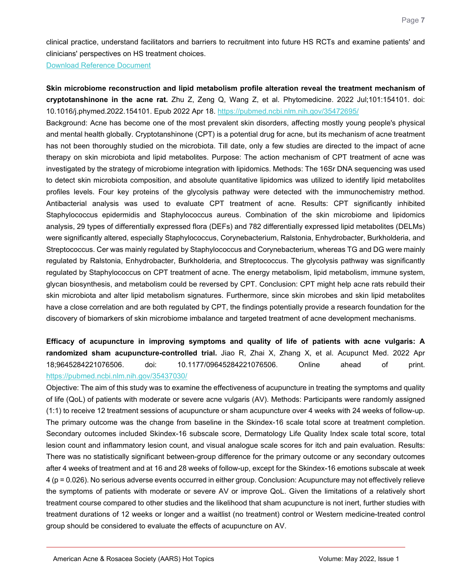clinical practice, understand facilitators and barriers to recruitment into future HS RCTs and examine patients' and clinicians' perspectives on HS treatment choices.

[Download Reference Document](https://files.constantcontact.com/c2fa20d1101/0d311144-b962-4b4b-be07-c1fb04cce3f4.pdf?rdr=true)

<span id="page-6-0"></span>**Skin microbiome reconstruction and lipid metabolism profile alteration reveal the treatment mechanism of cryptotanshinone in the acne rat.** Zhu Z, Zeng Q, Wang Z, et al. Phytomedicine. 2022 Jul;101:154101. doi: 10.1016/j.phymed.2022.154101. Epub 2022 Apr 18.<https://pubmed.ncbi.nlm.nih.gov/35472695/>

Background: Acne has become one of the most prevalent skin disorders, affecting mostly young people's physical and mental health globally. Cryptotanshinone (CPT) is a potential drug for acne, but its mechanism of acne treatment has not been thoroughly studied on the microbiota. Till date, only a few studies are directed to the impact of acne therapy on skin microbiota and lipid metabolites. Purpose: The action mechanism of CPT treatment of acne was investigated by the strategy of microbiome integration with lipidomics. Methods: The 16Sr DNA sequencing was used to detect skin microbiota composition, and absolute quantitative lipidomics was utilized to identify lipid metabolites profiles levels. Four key proteins of the glycolysis pathway were detected with the immunochemistry method. Antibacterial analysis was used to evaluate CPT treatment of acne. Results: CPT significantly inhibited Staphylococcus epidermidis and Staphylococcus aureus. Combination of the skin microbiome and lipidomics analysis, 29 types of differentially expressed flora (DEFs) and 782 differentially expressed lipid metabolites (DELMs) were significantly altered, especially Staphylococcus, Corynebacterium, Ralstonia, Enhydrobacter, Burkholderia, and Streptococcus. Cer was mainly regulated by Staphylococcus and Corynebacterium, whereas TG and DG were mainly regulated by Ralstonia, Enhydrobacter, Burkholderia, and Streptococcus. The glycolysis pathway was significantly regulated by Staphylococcus on CPT treatment of acne. The energy metabolism, lipid metabolism, immune system, glycan biosynthesis, and metabolism could be reversed by CPT. Conclusion: CPT might help acne rats rebuild their skin microbiota and alter lipid metabolism signatures. Furthermore, since skin microbes and skin lipid metabolites have a close correlation and are both regulated by CPT, the findings potentially provide a research foundation for the discovery of biomarkers of skin microbiome imbalance and targeted treatment of acne development mechanisms.

<span id="page-6-1"></span>**Efficacy of acupuncture in improving symptoms and quality of life of patients with acne vulgaris: A randomized sham acupuncture-controlled trial.** Jiao R, Zhai X, Zhang X, et al. Acupunct Med. 2022 Apr 18;9645284221076506. doi: 10.1177/09645284221076506. Online ahead of print. <https://pubmed.ncbi.nlm.nih.gov/35437030/>

Objective: The aim of this study was to examine the effectiveness of acupuncture in treating the symptoms and quality of life (QoL) of patients with moderate or severe acne vulgaris (AV). Methods: Participants were randomly assigned (1:1) to receive 12 treatment sessions of acupuncture or sham acupuncture over 4 weeks with 24 weeks of follow-up. The primary outcome was the change from baseline in the Skindex-16 scale total score at treatment completion. Secondary outcomes included Skindex-16 subscale score, Dermatology Life Quality Index scale total score, total lesion count and inflammatory lesion count, and visual analogue scale scores for itch and pain evaluation. Results: There was no statistically significant between-group difference for the primary outcome or any secondary outcomes after 4 weeks of treatment and at 16 and 28 weeks of follow-up, except for the Skindex-16 emotions subscale at week 4 (p = 0.026). No serious adverse events occurred in either group. Conclusion: Acupuncture may not effectively relieve the symptoms of patients with moderate or severe AV or improve QoL. Given the limitations of a relatively short treatment course compared to other studies and the likelihood that sham acupuncture is not inert, further studies with treatment durations of 12 weeks or longer and a waitlist (no treatment) control or Western medicine-treated control group should be considered to evaluate the effects of acupuncture on AV.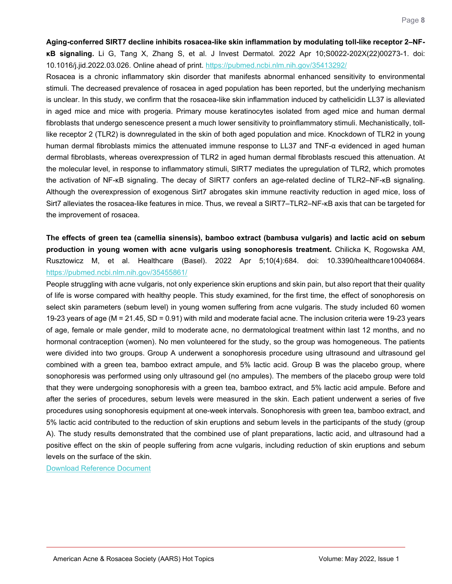<span id="page-7-0"></span>**Aging-conferred SIRT7 decline inhibits rosacea-like skin inflammation by modulating toll-like receptor 2‒NFκB signaling.** Li G, Tang X, Zhang S, et al. J Invest Dermatol. 2022 Apr 10;S0022-202X(22)00273-1. doi: 10.1016/j.jid.2022.03.026. Online ahead of print.<https://pubmed.ncbi.nlm.nih.gov/35413292/>

Rosacea is a chronic inflammatory skin disorder that manifests abnormal enhanced sensitivity to environmental stimuli. The decreased prevalence of rosacea in aged population has been reported, but the underlying mechanism is unclear. In this study, we confirm that the rosacea-like skin inflammation induced by cathelicidin LL37 is alleviated in aged mice and mice with progeria. Primary mouse keratinocytes isolated from aged mice and human dermal fibroblasts that undergo senescence present a much lower sensitivity to proinflammatory stimuli. Mechanistically, tolllike receptor 2 (TLR2) is downregulated in the skin of both aged population and mice. Knockdown of TLR2 in young human dermal fibroblasts mimics the attenuated immune response to LL37 and TNF-α evidenced in aged human dermal fibroblasts, whereas overexpression of TLR2 in aged human dermal fibroblasts rescued this attenuation. At the molecular level, in response to inflammatory stimuli, SIRT7 mediates the upregulation of TLR2, which promotes the activation of NF-κB signaling. The decay of SIRT7 confers an age-related decline of TLR2–NF-κB signaling. Although the overexpression of exogenous Sirt7 abrogates skin immune reactivity reduction in aged mice, loss of Sirt7 alleviates the rosacea-like features in mice. Thus, we reveal a SIRT7–TLR2–NF-KB axis that can be targeted for the improvement of rosacea.

<span id="page-7-1"></span>**The effects of green tea (camellia sinensis), bamboo extract (bambusa vulgaris) and lactic acid on sebum production in young women with acne vulgaris using sonophoresis treatment.** Chilicka K, Rogowska AM, Rusztowicz M, et al. Healthcare (Basel). 2022 Apr 5;10(4):684. doi: 10.3390/healthcare10040684. <https://pubmed.ncbi.nlm.nih.gov/35455861/>

People struggling with acne vulgaris, not only experience skin eruptions and skin pain, but also report that their quality of life is worse compared with healthy people. This study examined, for the first time, the effect of sonophoresis on select skin parameters (sebum level) in young women suffering from acne vulgaris. The study included 60 women 19-23 years of age (M = 21.45, SD = 0.91) with mild and moderate facial acne. The inclusion criteria were 19-23 years of age, female or male gender, mild to moderate acne, no dermatological treatment within last 12 months, and no hormonal contraception (women). No men volunteered for the study, so the group was homogeneous. The patients were divided into two groups. Group A underwent a sonophoresis procedure using ultrasound and ultrasound gel combined with a green tea, bamboo extract ampule, and 5% lactic acid. Group B was the placebo group, where sonophoresis was performed using only ultrasound gel (no ampules). The members of the placebo group were told that they were undergoing sonophoresis with a green tea, bamboo extract, and 5% lactic acid ampule. Before and after the series of procedures, sebum levels were measured in the skin. Each patient underwent a series of five procedures using sonophoresis equipment at one-week intervals. Sonophoresis with green tea, bamboo extract, and 5% lactic acid contributed to the reduction of skin eruptions and sebum levels in the participants of the study (group A). The study results demonstrated that the combined use of plant preparations, lactic acid, and ultrasound had a positive effect on the skin of people suffering from acne vulgaris, including reduction of skin eruptions and sebum levels on the surface of the skin.

[Download Reference Document](https://files.constantcontact.com/c2fa20d1101/232ee1af-ca7e-41f9-b3f4-ac60cb6324c7.pdf?rdr=true)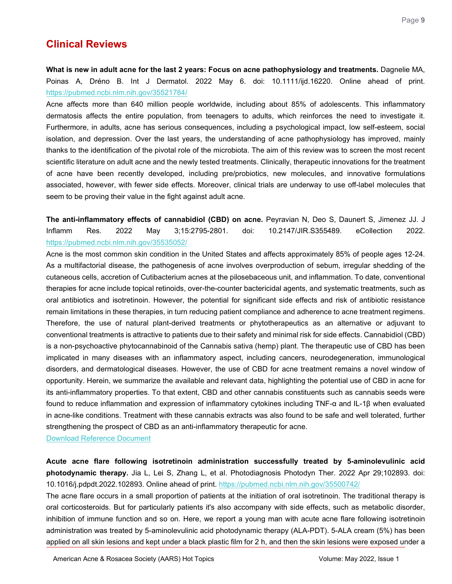## **Clinical Reviews**

<span id="page-8-0"></span>**What is new in adult acne for the last 2 years: Focus on acne pathophysiology and treatments.** Dagnelie MA, Poinas A, Dréno B. Int J Dermatol. 2022 May 6. doi: 10.1111/ijd.16220. Online ahead of print. <https://pubmed.ncbi.nlm.nih.gov/35521784/>

Acne affects more than 640 million people worldwide, including about 85% of adolescents. This inflammatory dermatosis affects the entire population, from teenagers to adults, which reinforces the need to investigate it. Furthermore, in adults, acne has serious consequences, including a psychological impact, low self-esteem, social isolation, and depression. Over the last years, the understanding of acne pathophysiology has improved, mainly thanks to the identification of the pivotal role of the microbiota. The aim of this review was to screen the most recent scientific literature on adult acne and the newly tested treatments. Clinically, therapeutic innovations for the treatment of acne have been recently developed, including pre/probiotics, new molecules, and innovative formulations associated, however, with fewer side effects. Moreover, clinical trials are underway to use off-label molecules that seem to be proving their value in the fight against adult acne.

<span id="page-8-1"></span>**The anti-inflammatory effects of cannabidiol (CBD) on acne.** Peyravian N, Deo S, Daunert S, Jimenez JJ. J Inflamm Res. 2022 May 3;15:2795-2801. doi: 10.2147/JIR.S355489. eCollection 2022. <https://pubmed.ncbi.nlm.nih.gov/35535052/>

Acne is the most common skin condition in the United States and affects approximately 85% of people ages 12-24. As a multifactorial disease, the pathogenesis of acne involves overproduction of sebum, irregular shedding of the cutaneous cells, accretion of Cutibacterium acnes at the pilosebaceous unit, and inflammation. To date, conventional therapies for acne include topical retinoids, over-the-counter bactericidal agents, and systematic treatments, such as oral antibiotics and isotretinoin. However, the potential for significant side effects and risk of antibiotic resistance remain limitations in these therapies, in turn reducing patient compliance and adherence to acne treatment regimens. Therefore, the use of natural plant-derived treatments or phytotherapeutics as an alternative or adjuvant to conventional treatments is attractive to patients due to their safety and minimal risk for side effects. Cannabidiol (CBD) is a non-psychoactive phytocannabinoid of the Cannabis sativa (hemp) plant. The therapeutic use of CBD has been implicated in many diseases with an inflammatory aspect, including cancers, neurodegeneration, immunological disorders, and dermatological diseases. However, the use of CBD for acne treatment remains a novel window of opportunity. Herein, we summarize the available and relevant data, highlighting the potential use of CBD in acne for its anti-inflammatory properties. To that extent, CBD and other cannabis constituents such as cannabis seeds were found to reduce inflammation and expression of inflammatory cytokines including TNF-α and IL-1β when evaluated in acne-like conditions. Treatment with these cannabis extracts was also found to be safe and well tolerated, further strengthening the prospect of CBD as an anti-inflammatory therapeutic for acne.

[Download Reference Document](https://files.constantcontact.com/c2fa20d1101/7dd4ef6f-fc8b-4c25-a194-f553e770722a.pdf?rdr=true)

<span id="page-8-2"></span>**Acute acne flare following isotretinoin administration successfully treated by 5-aminolevulinic acid photodynamic therapy.** Jia L, Lei S, Zhang L, et al. Photodiagnosis Photodyn Ther. 2022 Apr 29;102893. doi: 10.1016/j.pdpdt.2022.102893. Online ahead of print.<https://pubmed.ncbi.nlm.nih.gov/35500742/>

The acne flare occurs in a small proportion of patients at the initiation of oral isotretinoin. The traditional therapy is oral corticosteroids. But for particularly patients it's also accompany with side effects, such as metabolic disorder, inhibition of immune function and so on. Here, we report a young man with acute acne flare following isotretinoin administration was treated by 5-aminolevulinic acid photodynamic therapy (ALA-PDT). 5-ALA cream (5%) has been applied on all skin lesions and kept under a black plastic film for 2 h, and then the skin lesions were exposed under a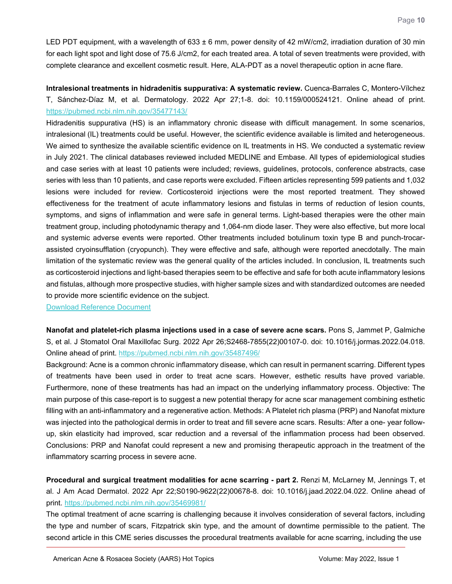LED PDT equipment, with a wavelength of 633 ± 6 mm, power density of 42 mW/cm2, irradiation duration of 30 min for each light spot and light dose of 75.6 J/cm2, for each treated area. A total of seven treatments were provided, with complete clearance and excellent cosmetic result. Here, ALA-PDT as a novel therapeutic option in acne flare.

<span id="page-9-0"></span>**Intralesional treatments in hidradenitis suppurativa: A systematic review.** Cuenca-Barrales C, Montero-Vílchez T, Sánchez-Díaz M, et al. Dermatology. 2022 Apr 27;1-8. doi: 10.1159/000524121. Online ahead of print. <https://pubmed.ncbi.nlm.nih.gov/35477143/>

Hidradenitis suppurativa (HS) is an inflammatory chronic disease with difficult management. In some scenarios, intralesional (IL) treatments could be useful. However, the scientific evidence available is limited and heterogeneous. We aimed to synthesize the available scientific evidence on IL treatments in HS. We conducted a systematic review in July 2021. The clinical databases reviewed included MEDLINE and Embase. All types of epidemiological studies and case series with at least 10 patients were included; reviews, guidelines, protocols, conference abstracts, case series with less than 10 patients, and case reports were excluded. Fifteen articles representing 599 patients and 1,032 lesions were included for review. Corticosteroid injections were the most reported treatment. They showed effectiveness for the treatment of acute inflammatory lesions and fistulas in terms of reduction of lesion counts, symptoms, and signs of inflammation and were safe in general terms. Light-based therapies were the other main treatment group, including photodynamic therapy and 1,064-nm diode laser. They were also effective, but more local and systemic adverse events were reported. Other treatments included botulinum toxin type B and punch-trocarassisted cryoinsufflation (cryopunch). They were effective and safe, although were reported anecdotally. The main limitation of the systematic review was the general quality of the articles included. In conclusion, IL treatments such as corticosteroid injections and light-based therapies seem to be effective and safe for both acute inflammatory lesions and fistulas, although more prospective studies, with higher sample sizes and with standardized outcomes are needed to provide more scientific evidence on the subject.

[Download Reference Document](https://files.constantcontact.com/c2fa20d1101/9538fc94-e63c-4457-99dc-6dc786286a7f.pdf?rdr=true)

<span id="page-9-1"></span>**Nanofat and platelet-rich plasma injections used in a case of severe acne scars.** Pons S, Jammet P, Galmiche S, et al. J Stomatol Oral Maxillofac Surg. 2022 Apr 26;S2468-7855(22)00107-0. doi: 10.1016/j.jormas.2022.04.018. Online ahead of print.<https://pubmed.ncbi.nlm.nih.gov/35487496/>

Background: Acne is a common chronic inflammatory disease, which can result in permanent scarring. Different types of treatments have been used in order to treat acne scars. However, esthetic results have proved variable. Furthermore, none of these treatments has had an impact on the underlying inflammatory process. Objective: The main purpose of this case-report is to suggest a new potential therapy for acne scar management combining esthetic filling with an anti-inflammatory and a regenerative action. Methods: A Platelet rich plasma (PRP) and Nanofat mixture was injected into the pathological dermis in order to treat and fill severe acne scars. Results: After a one- year followup, skin elasticity had improved, scar reduction and a reversal of the inflammation process had been observed. Conclusions: PRP and Nanofat could represent a new and promising therapeutic approach in the treatment of the inflammatory scarring process in severe acne.

<span id="page-9-2"></span>**Procedural and surgical treatment modalities for acne scarring - part 2.** Renzi M, McLarney M, Jennings T, et al. J Am Acad Dermatol. 2022 Apr 22;S0190-9622(22)00678-8. doi: 10.1016/j.jaad.2022.04.022. Online ahead of print.<https://pubmed.ncbi.nlm.nih.gov/35469981/>

The optimal treatment of acne scarring is challenging because it involves consideration of several factors, including the type and number of scars, Fitzpatrick skin type, and the amount of downtime permissible to the patient. The second article in this CME series discusses the procedural treatments available for acne scarring, including the use